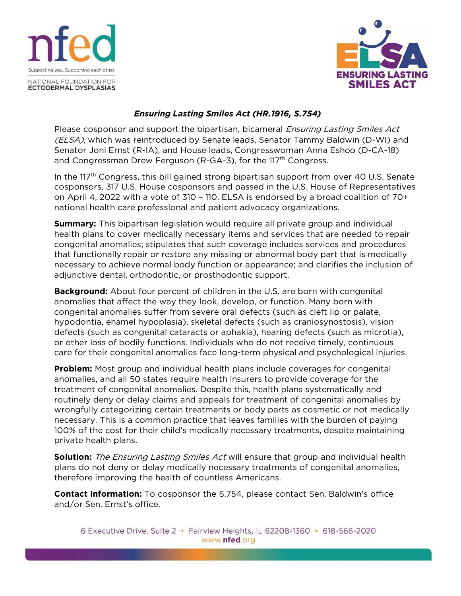



## *Ensuring Lasting Smiles Act (HR.1916, S.754)*

Please cosponsor and support the bipartisan, bicameral *Ensuring Lasting Smiles Act* (ELSA), which was reintroduced by Senate leads, Senator Tammy Baldwin (D-WI) and Senator Joni Ernst (R-IA), and House leads, Congresswoman Anna Eshoo (D-CA-18) and Congressman Drew Ferguson (R-GA-3), for the 117<sup>th</sup> Congress.

In the 117<sup>th</sup> Congress, this bill gained strong bipartisan support from over 40 U.S. Senate cosponsors, 317 U.S. House cosponsors and passed in the U.S. House of Representatives on April 4, 2022 with a vote of 310 – 110. ELSA is endorsed by a broad coalition of 70+ national health care professional and patient advocacy organizations.

**Summary:** This bipartisan legislation would require all private group and individual health plans to cover medically necessary items and services that are needed to repair congenital anomalies; stipulates that such coverage includes services and procedures that functionally repair or restore any missing or abnormal body part that is medically necessary to achieve normal body function or appearance; and clarifies the inclusion of adjunctive dental, orthodontic, or prosthodontic support.

**Background:** About four percent of children in the U.S. are born with congenital anomalies that affect the way they look, develop, or function. Many born with congenital anomalies suffer from severe oral defects (such as cleft lip or palate, hypodontia, enamel hypoplasia), skeletal defects (such as craniosynostosis), vision defects (such as congenital cataracts or aphakia), hearing defects (such as microtia), or other loss of bodily functions. Individuals who do not receive timely, continuous care for their congenital anomalies face long-term physical and psychological injuries.

**Problem:** Most group and individual health plans include coverages for congenital anomalies, and all 50 states require health insurers to provide coverage for the treatment of congenital anomalies. Despite this, health plans systematically and routinely deny or delay claims and appeals for treatment of congenital anomalies by wrongfully categorizing certain treatments or body parts as cosmetic or not medically necessary. This is a common practice that leaves families with the burden of paying 100% of the cost for their child's medically necessary treatments, despite maintaining private health plans.

**Solution:** The Ensuring Lasting Smiles Act will ensure that group and individual health plans do not deny or delay medically necessary treatments of congenital anomalies, therefore improving the health of countless Americans.

**Contact Information:** To cosponsor the S.754, please contact Sen. Baldwin's office and/or Sen. Ernst's office.

6 Executive Drive, Suite 2 · Fairview Heights, IL 62208-1360 · 618-566-2020 www.nfed.org